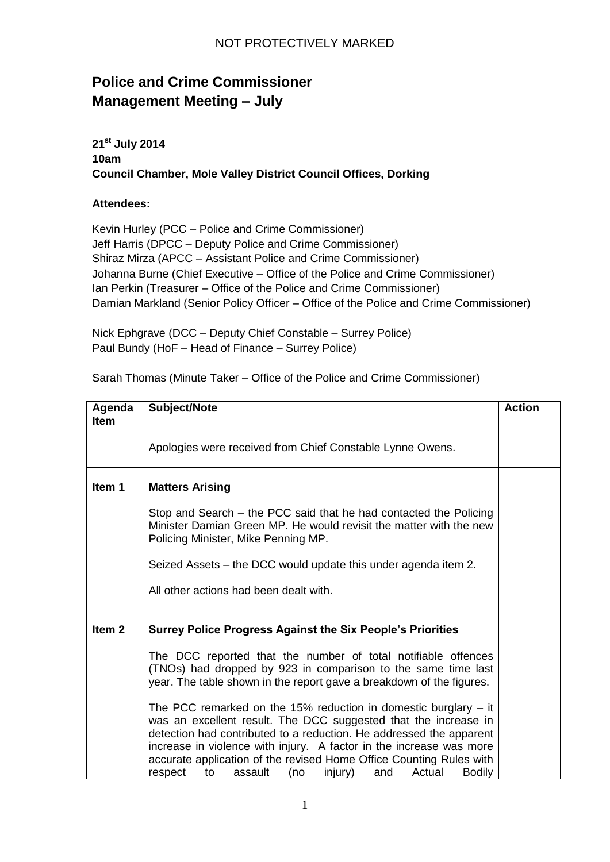## NOT PROTECTIVELY MARKED

## **Police and Crime Commissioner Management Meeting – July**

**21st July 2014 10am Council Chamber, Mole Valley District Council Offices, Dorking**

## **Attendees:**

Kevin Hurley (PCC – Police and Crime Commissioner) Jeff Harris (DPCC – Deputy Police and Crime Commissioner) Shiraz Mirza (APCC – Assistant Police and Crime Commissioner) Johanna Burne (Chief Executive – Office of the Police and Crime Commissioner) Ian Perkin (Treasurer – Office of the Police and Crime Commissioner) Damian Markland (Senior Policy Officer – Office of the Police and Crime Commissioner)

Nick Ephgrave (DCC – Deputy Chief Constable – Surrey Police) Paul Bundy (HoF – Head of Finance – Surrey Police)

| Agenda<br><b>Item</b> | Subject/Note                                                                                                                                                                                                                                                                                                                                                                                                                              | <b>Action</b> |
|-----------------------|-------------------------------------------------------------------------------------------------------------------------------------------------------------------------------------------------------------------------------------------------------------------------------------------------------------------------------------------------------------------------------------------------------------------------------------------|---------------|
|                       | Apologies were received from Chief Constable Lynne Owens.                                                                                                                                                                                                                                                                                                                                                                                 |               |
| Item 1                | <b>Matters Arising</b>                                                                                                                                                                                                                                                                                                                                                                                                                    |               |
|                       | Stop and Search – the PCC said that he had contacted the Policing<br>Minister Damian Green MP. He would revisit the matter with the new<br>Policing Minister, Mike Penning MP.                                                                                                                                                                                                                                                            |               |
|                       | Seized Assets – the DCC would update this under agenda item 2.                                                                                                                                                                                                                                                                                                                                                                            |               |
|                       | All other actions had been dealt with.                                                                                                                                                                                                                                                                                                                                                                                                    |               |
| Item <sub>2</sub>     | <b>Surrey Police Progress Against the Six People's Priorities</b>                                                                                                                                                                                                                                                                                                                                                                         |               |
|                       | The DCC reported that the number of total notifiable offences<br>(TNOs) had dropped by 923 in comparison to the same time last<br>year. The table shown in the report gave a breakdown of the figures.                                                                                                                                                                                                                                    |               |
|                       | The PCC remarked on the 15% reduction in domestic burglary $-$ it<br>was an excellent result. The DCC suggested that the increase in<br>detection had contributed to a reduction. He addressed the apparent<br>increase in violence with injury. A factor in the increase was more<br>accurate application of the revised Home Office Counting Rules with<br>to<br>assault<br>(no<br>Actual<br><b>Bodily</b><br>respect<br>injury)<br>and |               |

Sarah Thomas (Minute Taker – Office of the Police and Crime Commissioner)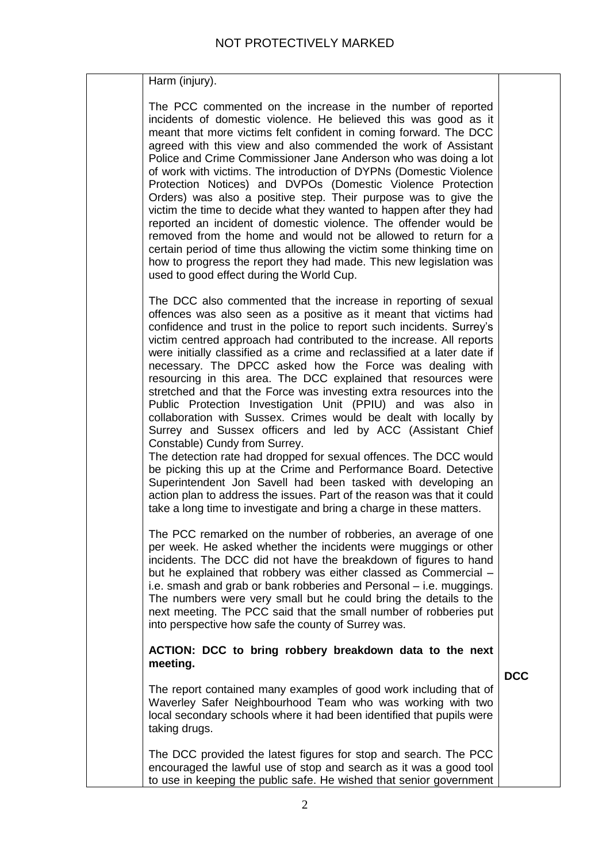| Harm (injury).                                                                                                                                                                                                                                                                                                                                                                                                                                                                                                                                                                                                                                                                                                                                                                                                                                                                                                                                                                                                                                                                                                                                                       |            |
|----------------------------------------------------------------------------------------------------------------------------------------------------------------------------------------------------------------------------------------------------------------------------------------------------------------------------------------------------------------------------------------------------------------------------------------------------------------------------------------------------------------------------------------------------------------------------------------------------------------------------------------------------------------------------------------------------------------------------------------------------------------------------------------------------------------------------------------------------------------------------------------------------------------------------------------------------------------------------------------------------------------------------------------------------------------------------------------------------------------------------------------------------------------------|------------|
| The PCC commented on the increase in the number of reported<br>incidents of domestic violence. He believed this was good as it<br>meant that more victims felt confident in coming forward. The DCC<br>agreed with this view and also commended the work of Assistant<br>Police and Crime Commissioner Jane Anderson who was doing a lot<br>of work with victims. The introduction of DYPNs (Domestic Violence<br>Protection Notices) and DVPOs (Domestic Violence Protection<br>Orders) was also a positive step. Their purpose was to give the<br>victim the time to decide what they wanted to happen after they had<br>reported an incident of domestic violence. The offender would be<br>removed from the home and would not be allowed to return for a<br>certain period of time thus allowing the victim some thinking time on<br>how to progress the report they had made. This new legislation was<br>used to good effect during the World Cup.                                                                                                                                                                                                            |            |
| The DCC also commented that the increase in reporting of sexual<br>offences was also seen as a positive as it meant that victims had<br>confidence and trust in the police to report such incidents. Surrey's<br>victim centred approach had contributed to the increase. All reports<br>were initially classified as a crime and reclassified at a later date if<br>necessary. The DPCC asked how the Force was dealing with<br>resourcing in this area. The DCC explained that resources were<br>stretched and that the Force was investing extra resources into the<br>Public Protection Investigation Unit (PPIU) and was also in<br>collaboration with Sussex. Crimes would be dealt with locally by<br>Surrey and Sussex officers and led by ACC (Assistant Chief<br>Constable) Cundy from Surrey.<br>The detection rate had dropped for sexual offences. The DCC would<br>be picking this up at the Crime and Performance Board. Detective<br>Superintendent Jon Savell had been tasked with developing an<br>action plan to address the issues. Part of the reason was that it could<br>take a long time to investigate and bring a charge in these matters. |            |
| The PCC remarked on the number of robberies, an average of one<br>per week. He asked whether the incidents were muggings or other<br>incidents. The DCC did not have the breakdown of figures to hand<br>but he explained that robbery was either classed as Commercial -<br>i.e. smash and grab or bank robberies and Personal – i.e. muggings.<br>The numbers were very small but he could bring the details to the<br>next meeting. The PCC said that the small number of robberies put<br>into perspective how safe the county of Surrey was.                                                                                                                                                                                                                                                                                                                                                                                                                                                                                                                                                                                                                    |            |
| ACTION: DCC to bring robbery breakdown data to the next<br>meeting.                                                                                                                                                                                                                                                                                                                                                                                                                                                                                                                                                                                                                                                                                                                                                                                                                                                                                                                                                                                                                                                                                                  | <b>DCC</b> |
| The report contained many examples of good work including that of<br>Waverley Safer Neighbourhood Team who was working with two<br>local secondary schools where it had been identified that pupils were<br>taking drugs.                                                                                                                                                                                                                                                                                                                                                                                                                                                                                                                                                                                                                                                                                                                                                                                                                                                                                                                                            |            |
| The DCC provided the latest figures for stop and search. The PCC<br>encouraged the lawful use of stop and search as it was a good tool<br>to use in keeping the public safe. He wished that senior government                                                                                                                                                                                                                                                                                                                                                                                                                                                                                                                                                                                                                                                                                                                                                                                                                                                                                                                                                        |            |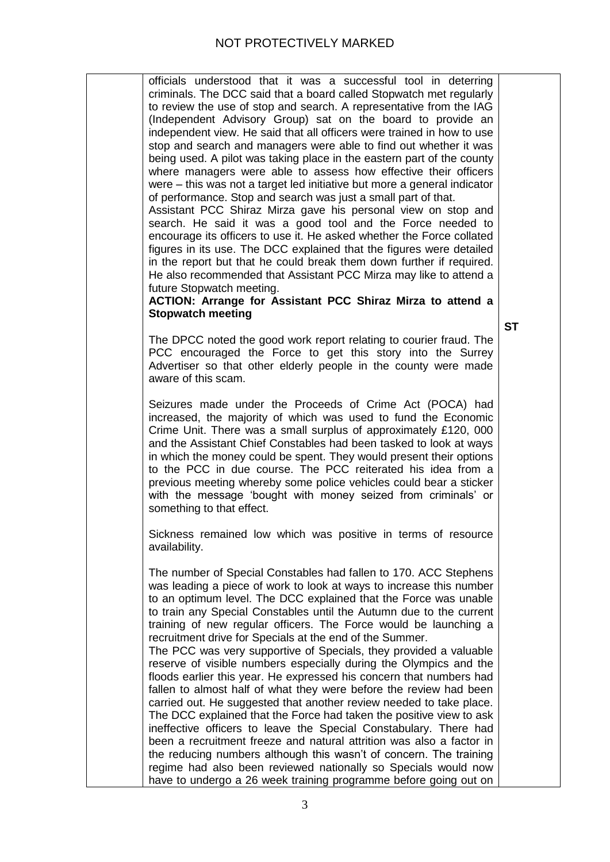| officials understood that it was a successful tool in deterring<br>criminals. The DCC said that a board called Stopwatch met regularly<br>to review the use of stop and search. A representative from the IAG<br>(Independent Advisory Group) sat on the board to provide an<br>independent view. He said that all officers were trained in how to use<br>stop and search and managers were able to find out whether it was<br>being used. A pilot was taking place in the eastern part of the county<br>where managers were able to assess how effective their officers<br>were – this was not a target led initiative but more a general indicator<br>of performance. Stop and search was just a small part of that.<br>Assistant PCC Shiraz Mirza gave his personal view on stop and<br>search. He said it was a good tool and the Force needed to<br>encourage its officers to use it. He asked whether the Force collated<br>figures in its use. The DCC explained that the figures were detailed<br>in the report but that he could break them down further if required.<br>He also recommended that Assistant PCC Mirza may like to attend a<br>future Stopwatch meeting.<br>ACTION: Arrange for Assistant PCC Shiraz Mirza to attend a<br><b>Stopwatch meeting</b> | <b>ST</b> |
|----------------------------------------------------------------------------------------------------------------------------------------------------------------------------------------------------------------------------------------------------------------------------------------------------------------------------------------------------------------------------------------------------------------------------------------------------------------------------------------------------------------------------------------------------------------------------------------------------------------------------------------------------------------------------------------------------------------------------------------------------------------------------------------------------------------------------------------------------------------------------------------------------------------------------------------------------------------------------------------------------------------------------------------------------------------------------------------------------------------------------------------------------------------------------------------------------------------------------------------------------------------------------|-----------|
| The DPCC noted the good work report relating to courier fraud. The<br>PCC encouraged the Force to get this story into the Surrey<br>Advertiser so that other elderly people in the county were made<br>aware of this scam.                                                                                                                                                                                                                                                                                                                                                                                                                                                                                                                                                                                                                                                                                                                                                                                                                                                                                                                                                                                                                                                 |           |
| Seizures made under the Proceeds of Crime Act (POCA) had<br>increased, the majority of which was used to fund the Economic<br>Crime Unit. There was a small surplus of approximately £120, 000<br>and the Assistant Chief Constables had been tasked to look at ways<br>in which the money could be spent. They would present their options<br>to the PCC in due course. The PCC reiterated his idea from a<br>previous meeting whereby some police vehicles could bear a sticker<br>with the message 'bought with money seized from criminals' or<br>something to that effect.                                                                                                                                                                                                                                                                                                                                                                                                                                                                                                                                                                                                                                                                                            |           |
| Sickness remained low which was positive in terms of resource<br>availability.                                                                                                                                                                                                                                                                                                                                                                                                                                                                                                                                                                                                                                                                                                                                                                                                                                                                                                                                                                                                                                                                                                                                                                                             |           |
| The number of Special Constables had fallen to 170. ACC Stephens<br>was leading a piece of work to look at ways to increase this number<br>to an optimum level. The DCC explained that the Force was unable<br>to train any Special Constables until the Autumn due to the current<br>training of new regular officers. The Force would be launching a<br>recruitment drive for Specials at the end of the Summer.<br>The PCC was very supportive of Specials, they provided a valuable<br>reserve of visible numbers especially during the Olympics and the<br>floods earlier this year. He expressed his concern that numbers had<br>fallen to almost half of what they were before the review had been<br>carried out. He suggested that another review needed to take place.<br>The DCC explained that the Force had taken the positive view to ask<br>ineffective officers to leave the Special Constabulary. There had<br>been a recruitment freeze and natural attrition was also a factor in                                                                                                                                                                                                                                                                       |           |
| the reducing numbers although this wasn't of concern. The training<br>regime had also been reviewed nationally so Specials would now<br>have to undergo a 26 week training programme before going out on                                                                                                                                                                                                                                                                                                                                                                                                                                                                                                                                                                                                                                                                                                                                                                                                                                                                                                                                                                                                                                                                   |           |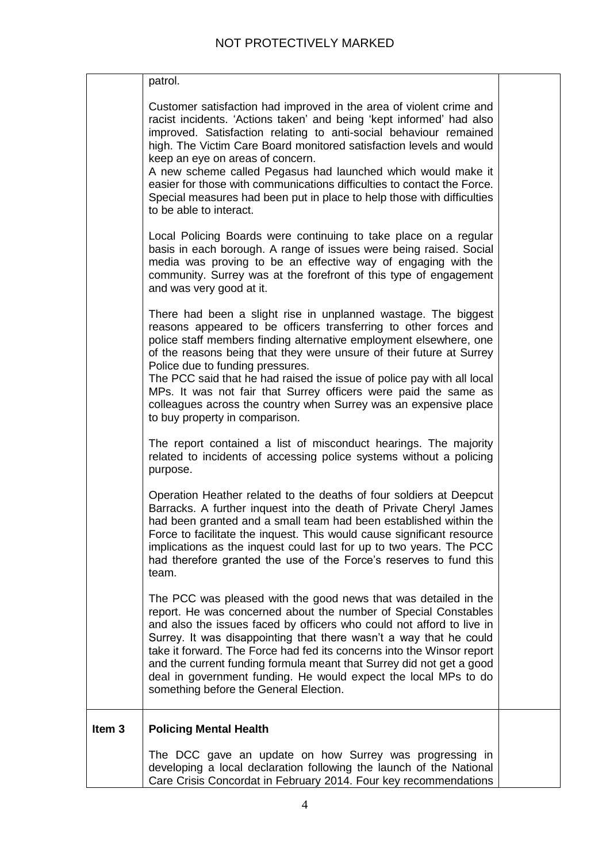|                   | patrol.                                                                                                                                                                                                                                                                                                                                                                                                                                                                                                                                                                     |  |
|-------------------|-----------------------------------------------------------------------------------------------------------------------------------------------------------------------------------------------------------------------------------------------------------------------------------------------------------------------------------------------------------------------------------------------------------------------------------------------------------------------------------------------------------------------------------------------------------------------------|--|
|                   | Customer satisfaction had improved in the area of violent crime and<br>racist incidents. 'Actions taken' and being 'kept informed' had also<br>improved. Satisfaction relating to anti-social behaviour remained<br>high. The Victim Care Board monitored satisfaction levels and would<br>keep an eye on areas of concern.<br>A new scheme called Pegasus had launched which would make it<br>easier for those with communications difficulties to contact the Force.<br>Special measures had been put in place to help those with difficulties<br>to be able to interact. |  |
|                   | Local Policing Boards were continuing to take place on a regular<br>basis in each borough. A range of issues were being raised. Social<br>media was proving to be an effective way of engaging with the<br>community. Surrey was at the forefront of this type of engagement<br>and was very good at it.                                                                                                                                                                                                                                                                    |  |
|                   | There had been a slight rise in unplanned wastage. The biggest<br>reasons appeared to be officers transferring to other forces and<br>police staff members finding alternative employment elsewhere, one<br>of the reasons being that they were unsure of their future at Surrey<br>Police due to funding pressures.<br>The PCC said that he had raised the issue of police pay with all local<br>MPs. It was not fair that Surrey officers were paid the same as<br>colleagues across the country when Surrey was an expensive place<br>to buy property in comparison.     |  |
|                   | The report contained a list of misconduct hearings. The majority<br>related to incidents of accessing police systems without a policing<br>purpose.                                                                                                                                                                                                                                                                                                                                                                                                                         |  |
|                   | Operation Heather related to the deaths of four soldiers at Deepcut<br>Barracks. A further inquest into the death of Private Cheryl James<br>had been granted and a small team had been established within the<br>Force to facilitate the inquest. This would cause significant resource<br>implications as the inquest could last for up to two years. The PCC<br>had therefore granted the use of the Force's reserves to fund this<br>team.                                                                                                                              |  |
|                   | The PCC was pleased with the good news that was detailed in the<br>report. He was concerned about the number of Special Constables<br>and also the issues faced by officers who could not afford to live in<br>Surrey. It was disappointing that there wasn't a way that he could<br>take it forward. The Force had fed its concerns into the Winsor report<br>and the current funding formula meant that Surrey did not get a good<br>deal in government funding. He would expect the local MPs to do<br>something before the General Election.                            |  |
| Item <sub>3</sub> | <b>Policing Mental Health</b>                                                                                                                                                                                                                                                                                                                                                                                                                                                                                                                                               |  |
|                   | The DCC gave an update on how Surrey was progressing in<br>developing a local declaration following the launch of the National<br>Care Crisis Concordat in February 2014. Four key recommendations                                                                                                                                                                                                                                                                                                                                                                          |  |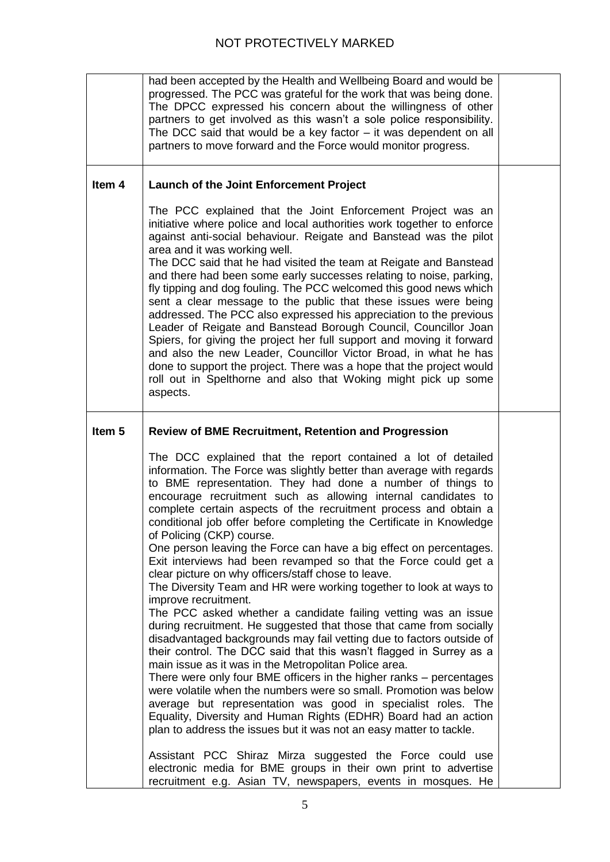|                   | had been accepted by the Health and Wellbeing Board and would be<br>progressed. The PCC was grateful for the work that was being done.<br>The DPCC expressed his concern about the willingness of other<br>partners to get involved as this wasn't a sole police responsibility.<br>The DCC said that would be a key factor $-$ it was dependent on all<br>partners to move forward and the Force would monitor progress.                                                                                                                                                                                                                                                                                                                                                                                                                                                                                                                                                                                                                                                                                                                                                                                                                                                                                                                                                                                                                                                                                      |  |
|-------------------|----------------------------------------------------------------------------------------------------------------------------------------------------------------------------------------------------------------------------------------------------------------------------------------------------------------------------------------------------------------------------------------------------------------------------------------------------------------------------------------------------------------------------------------------------------------------------------------------------------------------------------------------------------------------------------------------------------------------------------------------------------------------------------------------------------------------------------------------------------------------------------------------------------------------------------------------------------------------------------------------------------------------------------------------------------------------------------------------------------------------------------------------------------------------------------------------------------------------------------------------------------------------------------------------------------------------------------------------------------------------------------------------------------------------------------------------------------------------------------------------------------------|--|
| Item 4            | <b>Launch of the Joint Enforcement Project</b>                                                                                                                                                                                                                                                                                                                                                                                                                                                                                                                                                                                                                                                                                                                                                                                                                                                                                                                                                                                                                                                                                                                                                                                                                                                                                                                                                                                                                                                                 |  |
|                   | The PCC explained that the Joint Enforcement Project was an<br>initiative where police and local authorities work together to enforce<br>against anti-social behaviour. Reigate and Banstead was the pilot<br>area and it was working well.<br>The DCC said that he had visited the team at Reigate and Banstead<br>and there had been some early successes relating to noise, parking,<br>fly tipping and dog fouling. The PCC welcomed this good news which<br>sent a clear message to the public that these issues were being<br>addressed. The PCC also expressed his appreciation to the previous<br>Leader of Reigate and Banstead Borough Council, Councillor Joan<br>Spiers, for giving the project her full support and moving it forward<br>and also the new Leader, Councillor Victor Broad, in what he has<br>done to support the project. There was a hope that the project would<br>roll out in Spelthorne and also that Woking might pick up some<br>aspects.                                                                                                                                                                                                                                                                                                                                                                                                                                                                                                                                   |  |
| Item <sub>5</sub> | <b>Review of BME Recruitment, Retention and Progression</b>                                                                                                                                                                                                                                                                                                                                                                                                                                                                                                                                                                                                                                                                                                                                                                                                                                                                                                                                                                                                                                                                                                                                                                                                                                                                                                                                                                                                                                                    |  |
|                   | The DCC explained that the report contained a lot of detailed<br>information. The Force was slightly better than average with regards<br>to BME representation. They had done a number of things to<br>encourage recruitment such as allowing internal candidates to<br>complete certain aspects of the recruitment process and obtain a<br>conditional job offer before completing the Certificate in Knowledge<br>of Policing (CKP) course.<br>One person leaving the Force can have a big effect on percentages.<br>Exit interviews had been revamped so that the Force could get a<br>clear picture on why officers/staff chose to leave.<br>The Diversity Team and HR were working together to look at ways to<br>improve recruitment.<br>The PCC asked whether a candidate failing vetting was an issue<br>during recruitment. He suggested that those that came from socially<br>disadvantaged backgrounds may fail vetting due to factors outside of<br>their control. The DCC said that this wasn't flagged in Surrey as a<br>main issue as it was in the Metropolitan Police area.<br>There were only four BME officers in the higher ranks – percentages<br>were volatile when the numbers were so small. Promotion was below<br>average but representation was good in specialist roles. The<br>Equality, Diversity and Human Rights (EDHR) Board had an action<br>plan to address the issues but it was not an easy matter to tackle.<br>Assistant PCC Shiraz Mirza suggested the Force could use |  |
|                   | electronic media for BME groups in their own print to advertise<br>recruitment e.g. Asian TV, newspapers, events in mosques. He                                                                                                                                                                                                                                                                                                                                                                                                                                                                                                                                                                                                                                                                                                                                                                                                                                                                                                                                                                                                                                                                                                                                                                                                                                                                                                                                                                                |  |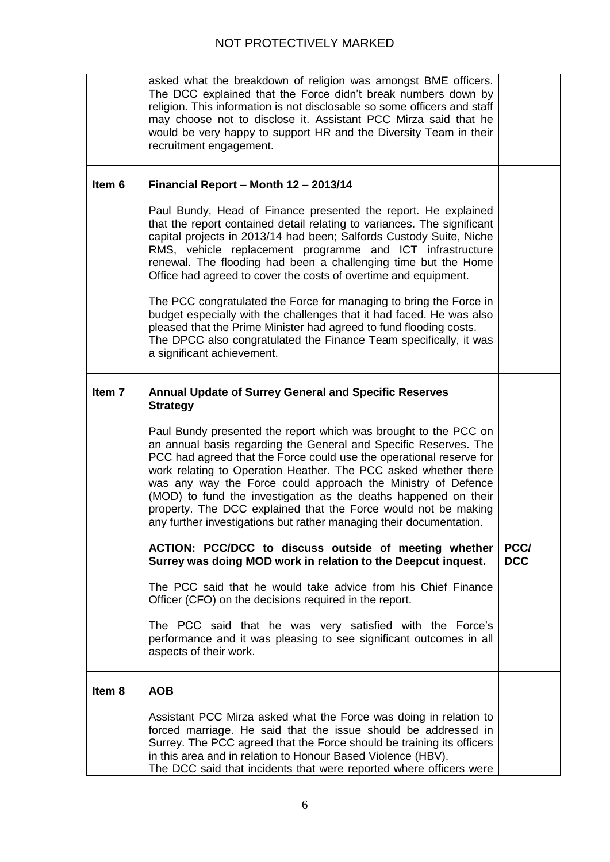|                   | asked what the breakdown of religion was amongst BME officers.<br>The DCC explained that the Force didn't break numbers down by<br>religion. This information is not disclosable so some officers and staff<br>may choose not to disclose it. Assistant PCC Mirza said that he<br>would be very happy to support HR and the Diversity Team in their<br>recruitment engagement.                                                                                                                                                                            |                    |
|-------------------|-----------------------------------------------------------------------------------------------------------------------------------------------------------------------------------------------------------------------------------------------------------------------------------------------------------------------------------------------------------------------------------------------------------------------------------------------------------------------------------------------------------------------------------------------------------|--------------------|
| Item 6            | Financial Report - Month 12 - 2013/14                                                                                                                                                                                                                                                                                                                                                                                                                                                                                                                     |                    |
|                   | Paul Bundy, Head of Finance presented the report. He explained<br>that the report contained detail relating to variances. The significant<br>capital projects in 2013/14 had been; Salfords Custody Suite, Niche<br>RMS, vehicle replacement programme and ICT infrastructure<br>renewal. The flooding had been a challenging time but the Home<br>Office had agreed to cover the costs of overtime and equipment.                                                                                                                                        |                    |
|                   | The PCC congratulated the Force for managing to bring the Force in<br>budget especially with the challenges that it had faced. He was also<br>pleased that the Prime Minister had agreed to fund flooding costs.<br>The DPCC also congratulated the Finance Team specifically, it was<br>a significant achievement.                                                                                                                                                                                                                                       |                    |
| Item <sub>7</sub> | <b>Annual Update of Surrey General and Specific Reserves</b><br><b>Strategy</b>                                                                                                                                                                                                                                                                                                                                                                                                                                                                           |                    |
|                   | Paul Bundy presented the report which was brought to the PCC on<br>an annual basis regarding the General and Specific Reserves. The<br>PCC had agreed that the Force could use the operational reserve for<br>work relating to Operation Heather. The PCC asked whether there<br>was any way the Force could approach the Ministry of Defence<br>(MOD) to fund the investigation as the deaths happened on their<br>property. The DCC explained that the Force would not be making<br>any further investigations but rather managing their documentation. |                    |
|                   | ACTION: PCC/DCC to discuss outside of meeting whether<br>Surrey was doing MOD work in relation to the Deepcut inquest.                                                                                                                                                                                                                                                                                                                                                                                                                                    | PCC/<br><b>DCC</b> |
|                   | The PCC said that he would take advice from his Chief Finance<br>Officer (CFO) on the decisions required in the report.                                                                                                                                                                                                                                                                                                                                                                                                                                   |                    |
|                   | The PCC said that he was very satisfied with the Force's<br>performance and it was pleasing to see significant outcomes in all<br>aspects of their work.                                                                                                                                                                                                                                                                                                                                                                                                  |                    |
| Item 8            | <b>AOB</b>                                                                                                                                                                                                                                                                                                                                                                                                                                                                                                                                                |                    |
|                   | Assistant PCC Mirza asked what the Force was doing in relation to<br>forced marriage. He said that the issue should be addressed in<br>Surrey. The PCC agreed that the Force should be training its officers<br>in this area and in relation to Honour Based Violence (HBV).<br>The DCC said that incidents that were reported where officers were                                                                                                                                                                                                        |                    |